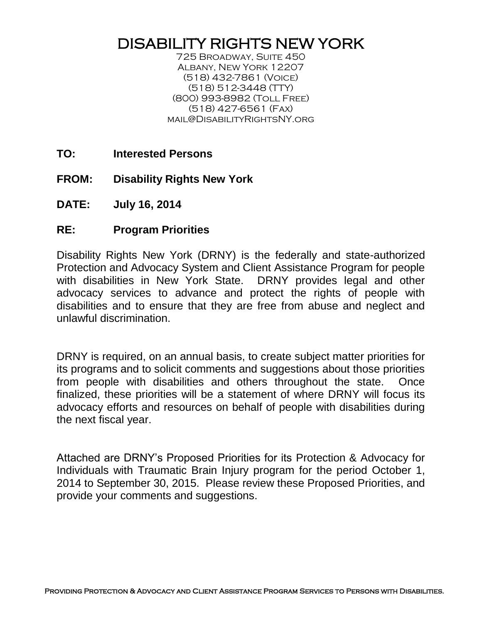## DISABILITY RIGHTS NEW YORK

725 Broadway, Suite 450 Albany, New York 12207 (518) 432-7861 (Voice) (518) 512-3448 (TTY) (800) 993-8982 (Toll Free) (518) 427-6561 (Fax) mail@DisabilityRightsNY.org

- **TO: Interested Persons**
- **FROM: Disability Rights New York**
- **DATE: July 16, 2014**
- **RE: Program Priorities**

Disability Rights New York (DRNY) is the federally and state-authorized Protection and Advocacy System and Client Assistance Program for people with disabilities in New York State. DRNY provides legal and other advocacy services to advance and protect the rights of people with disabilities and to ensure that they are free from abuse and neglect and unlawful discrimination.

DRNY is required, on an annual basis, to create subject matter priorities for its programs and to solicit comments and suggestions about those priorities from people with disabilities and others throughout the state. Once finalized, these priorities will be a statement of where DRNY will focus its advocacy efforts and resources on behalf of people with disabilities during the next fiscal year.

Attached are DRNY's Proposed Priorities for its Protection & Advocacy for Individuals with Traumatic Brain Injury program for the period October 1, 2014 to September 30, 2015. Please review these Proposed Priorities, and provide your comments and suggestions.